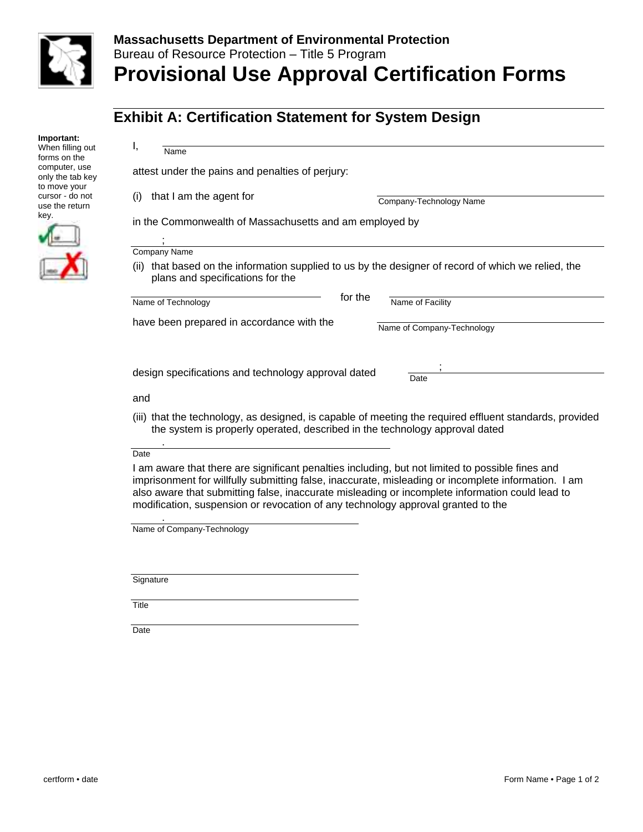

## **Massachusetts Department of Environmental Protection**  Bureau of Resource Protection – Title 5 Program **Provisional Use Approval Certification Forms**

## **Exhibit A: Certification Statement for System Design**

| Important:<br>When filling out<br>forms on the    | ι,<br>Name                                                                                                                                                                             |  |  |
|---------------------------------------------------|----------------------------------------------------------------------------------------------------------------------------------------------------------------------------------------|--|--|
| computer, use<br>only the tab key<br>to move your | attest under the pains and penalties of perjury:                                                                                                                                       |  |  |
| cursor - do not<br>use the return                 | that I am the agent for<br>$\left( \left  \right  \right)$<br>Company-Technology Name                                                                                                  |  |  |
| key.                                              | in the Commonwealth of Massachusetts and am employed by                                                                                                                                |  |  |
|                                                   | Company Name                                                                                                                                                                           |  |  |
|                                                   | that based on the information supplied to us by the designer of record of which we relied, the<br>(ii)<br>plans and specifications for the                                             |  |  |
|                                                   | for the<br>Name of Facility<br>Name of Technology                                                                                                                                      |  |  |
|                                                   | have been prepared in accordance with the<br>Name of Company-Technology                                                                                                                |  |  |
|                                                   | design specifications and technology approval dated<br>Date                                                                                                                            |  |  |
|                                                   | and                                                                                                                                                                                    |  |  |
|                                                   | (iii) that the technology, as designed, is capable of meeting the required effluent standards, provided<br>the system is properly operated, described in the technology approval dated |  |  |
|                                                   |                                                                                                                                                                                        |  |  |

## Date

.

 I am aware that there are significant penalties including, but not limited to possible fines and imprisonment for willfully submitting false, inaccurate, misleading or incomplete information. I am also aware that submitting false, inaccurate misleading or incomplete information could lead to modification, suspension or revocation of any technology approval granted to the

Name of Company-Technology

**Signature** 

Title

**Date**